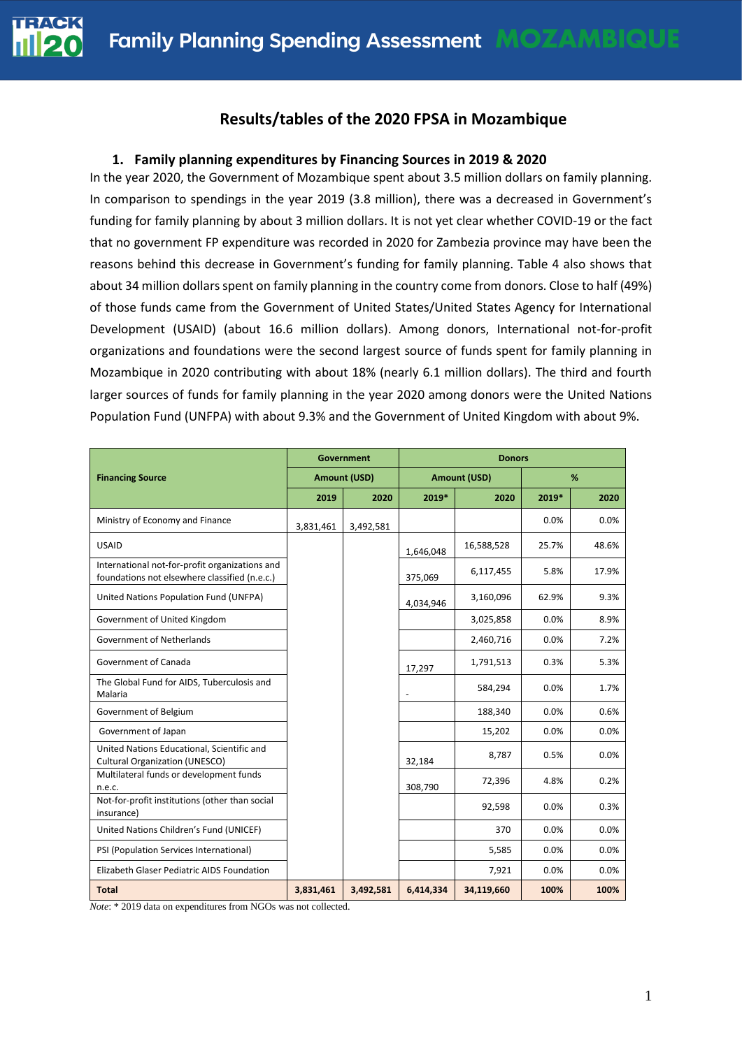## **Results/tables of the 2020 FPSA in Mozambique**

#### **1. Family planning expenditures by Financing Sources in 2019 & 2020**

In the year 2020, the Government of Mozambique spent about 3.5 million dollars on family planning. In comparison to spendings in the year 2019 (3.8 million), there was a decreased in Government's funding for family planning by about 3 million dollars. It is not yet clear whether COVID-19 or the fact that no government FP expenditure was recorded in 2020 for Zambezia province may have been the reasons behind this decrease in Government's funding for family planning. Table 4 also shows that about 34 million dollars spent on family planning in the country come from donors. Close to half (49%) of those funds came from the Government of United States/United States Agency for International Development (USAID) (about 16.6 million dollars). Among donors, International not-for-profit organizations and foundations were the second largest source of funds spent for family planning in Mozambique in 2020 contributing with about 18% (nearly 6.1 million dollars). The third and fourth larger sources of funds for family planning in the year 2020 among donors were the United Nations Population Fund (UNFPA) with about 9.3% and the Government of United Kingdom with about 9%.

|                                                                                                 | Government          |           | <b>Donors</b>       |            |       |       |
|-------------------------------------------------------------------------------------------------|---------------------|-----------|---------------------|------------|-------|-------|
| <b>Financing Source</b>                                                                         | <b>Amount (USD)</b> |           | <b>Amount (USD)</b> |            | %     |       |
|                                                                                                 | 2019                | 2020      | 2019*               | 2020       | 2019* | 2020  |
| Ministry of Economy and Finance                                                                 | 3,831,461           | 3,492,581 |                     |            | 0.0%  | 0.0%  |
| <b>USAID</b>                                                                                    |                     |           | 1,646,048           | 16,588,528 | 25.7% | 48.6% |
| International not-for-profit organizations and<br>foundations not elsewhere classified (n.e.c.) |                     |           | 375,069             | 6,117,455  | 5.8%  | 17.9% |
| United Nations Population Fund (UNFPA)                                                          |                     |           | 4,034,946           | 3,160,096  | 62.9% | 9.3%  |
| Government of United Kingdom                                                                    |                     |           |                     | 3,025,858  | 0.0%  | 8.9%  |
| Government of Netherlands                                                                       |                     |           |                     | 2,460,716  | 0.0%  | 7.2%  |
| Government of Canada                                                                            |                     |           | 17,297              | 1,791,513  | 0.3%  | 5.3%  |
| The Global Fund for AIDS, Tuberculosis and<br>Malaria                                           |                     |           |                     | 584,294    | 0.0%  | 1.7%  |
| Government of Belgium                                                                           |                     |           |                     | 188,340    | 0.0%  | 0.6%  |
| Government of Japan                                                                             |                     |           |                     | 15,202     | 0.0%  | 0.0%  |
| United Nations Educational, Scientific and<br><b>Cultural Organization (UNESCO)</b>             |                     |           | 32,184              | 8,787      | 0.5%  | 0.0%  |
| Multilateral funds or development funds<br>n.e.c.                                               |                     |           | 308,790             | 72,396     | 4.8%  | 0.2%  |
| Not-for-profit institutions (other than social<br>insurance)                                    |                     |           |                     | 92,598     | 0.0%  | 0.3%  |
| United Nations Children's Fund (UNICEF)                                                         |                     |           |                     | 370        | 0.0%  | 0.0%  |
| PSI (Population Services International)                                                         |                     |           |                     | 5,585      | 0.0%  | 0.0%  |
| Elizabeth Glaser Pediatric AIDS Foundation                                                      |                     |           |                     | 7,921      | 0.0%  | 0.0%  |
| <b>Total</b>                                                                                    | 3,831,461           | 3,492,581 | 6,414,334           | 34,119,660 | 100%  | 100%  |

*Note*: \* 2019 data on expenditures from NGOs was not collected.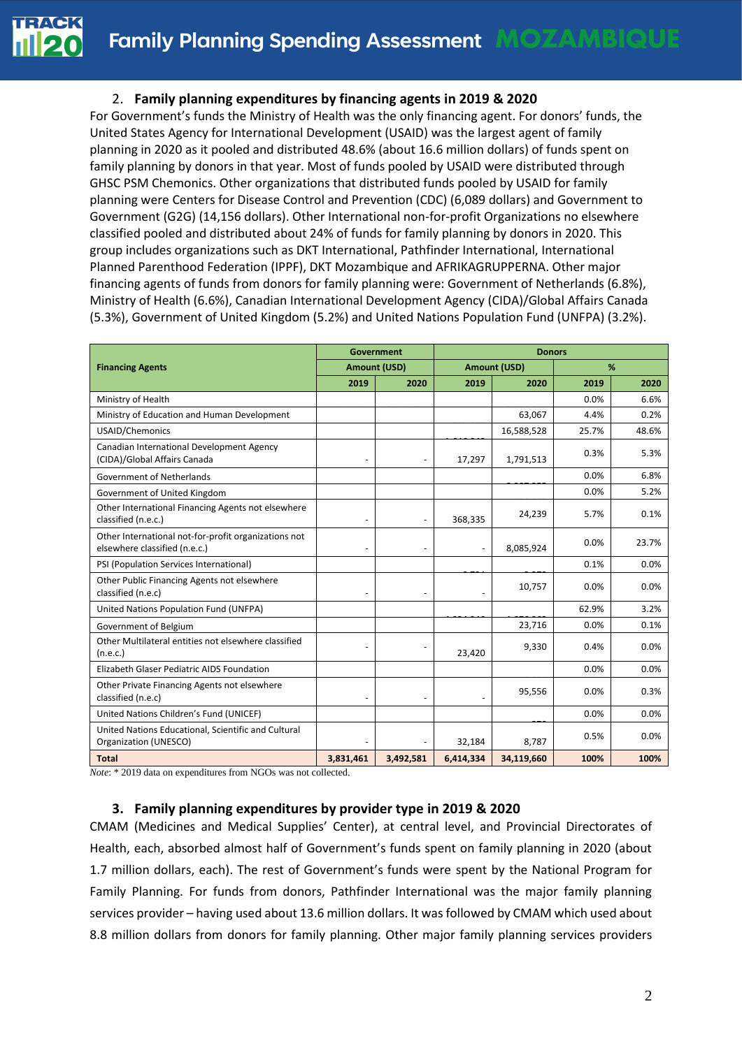#### 2. **Family planning expenditures by financing agents in 2019 & 2020**

For Government's funds the Ministry of Health was the only financing agent. For donors' funds, the United States Agency for International Development (USAID) was the largest agent of family planning in 2020 as it pooled and distributed 48.6% (about 16.6 million dollars) of funds spent on family planning by donors in that year. Most of funds pooled by USAID were distributed through GHSC PSM Chemonics. Other organizations that distributed funds pooled by USAID for family planning were Centers for Disease Control and Prevention (CDC) (6,089 dollars) and Government to Government (G2G) (14,156 dollars). Other International non-for-profit Organizations no elsewhere classified pooled and distributed about 24% of funds for family planning by donors in 2020. This group includes organizations such as DKT International, Pathfinder International, International Planned Parenthood Federation (IPPF), DKT Mozambique and AFRIKAGRUPPERNA. Other major financing agents of funds from donors for family planning were: Government of Netherlands (6.8%), Ministry of Health (6.6%), Canadian International Development Agency (CIDA)/Global Affairs Canada (5.3%), Government of United Kingdom (5.2%) and United Nations Population Fund (UNFPA) (3.2%).

|                                                                                       | <b>Government</b> |                          |                          | <b>Donors</b> |       |       |
|---------------------------------------------------------------------------------------|-------------------|--------------------------|--------------------------|---------------|-------|-------|
| <b>Financing Agents</b>                                                               | Amount (USD)      |                          | <b>Amount (USD)</b>      |               | %     |       |
|                                                                                       | 2019              | 2020                     | 2019                     | 2020          | 2019  | 2020  |
| Ministry of Health                                                                    |                   |                          |                          |               | 0.0%  | 6.6%  |
| Ministry of Education and Human Development                                           |                   |                          |                          | 63,067        | 4.4%  | 0.2%  |
| USAID/Chemonics                                                                       |                   |                          |                          | 16,588,528    | 25.7% | 48.6% |
| Canadian International Development Agency<br>(CIDA)/Global Affairs Canada             |                   | $\overline{\phantom{a}}$ | 17,297                   | 1,791,513     | 0.3%  | 5.3%  |
| <b>Government of Netherlands</b>                                                      |                   |                          |                          |               | 0.0%  | 6.8%  |
| Government of United Kingdom                                                          |                   |                          |                          |               | 0.0%  | 5.2%  |
| Other International Financing Agents not elsewhere<br>classified (n.e.c.)             |                   | $\overline{a}$           | 368,335                  | 24,239        | 5.7%  | 0.1%  |
| Other International not-for-profit organizations not<br>elsewhere classified (n.e.c.) |                   | $\overline{\phantom{a}}$ | $\overline{\phantom{a}}$ | 8,085,924     | 0.0%  | 23.7% |
| PSI (Population Services International)                                               |                   |                          |                          |               | 0.1%  | 0.0%  |
| Other Public Financing Agents not elsewhere<br>classified (n.e.c)                     |                   | $\overline{a}$           |                          | 10,757        | 0.0%  | 0.0%  |
| United Nations Population Fund (UNFPA)                                                |                   |                          |                          |               | 62.9% | 3.2%  |
| Government of Belgium                                                                 |                   |                          |                          | 23,716        | 0.0%  | 0.1%  |
| Other Multilateral entities not elsewhere classified<br>(n.e.c.)                      |                   |                          | 23,420                   | 9,330         | 0.4%  | 0.0%  |
| Elizabeth Glaser Pediatric AIDS Foundation                                            |                   |                          |                          |               | 0.0%  | 0.0%  |
| Other Private Financing Agents not elsewhere<br>classified (n.e.c)                    |                   | $\overline{\phantom{a}}$ |                          | 95,556        | 0.0%  | 0.3%  |
| United Nations Children's Fund (UNICEF)                                               |                   |                          |                          |               | 0.0%  | 0.0%  |
| United Nations Educational, Scientific and Cultural<br>Organization (UNESCO)          |                   |                          | 32,184                   | 8,787         | 0.5%  | 0.0%  |
| <b>Total</b>                                                                          | 3,831,461         | 3,492,581                | 6,414,334                | 34,119,660    | 100%  | 100%  |

*Note*: \* 2019 data on expenditures from NGOs was not collected.

#### **3. Family planning expenditures by provider type in 2019 & 2020**

CMAM (Medicines and Medical Supplies' Center), at central level, and Provincial Directorates of Health, each, absorbed almost half of Government's funds spent on family planning in 2020 (about 1.7 million dollars, each). The rest of Government's funds were spent by the National Program for Family Planning. For funds from donors, Pathfinder International was the major family planning services provider – having used about 13.6 million dollars. It was followed by CMAM which used about 8.8 million dollars from donors for family planning. Other major family planning services providers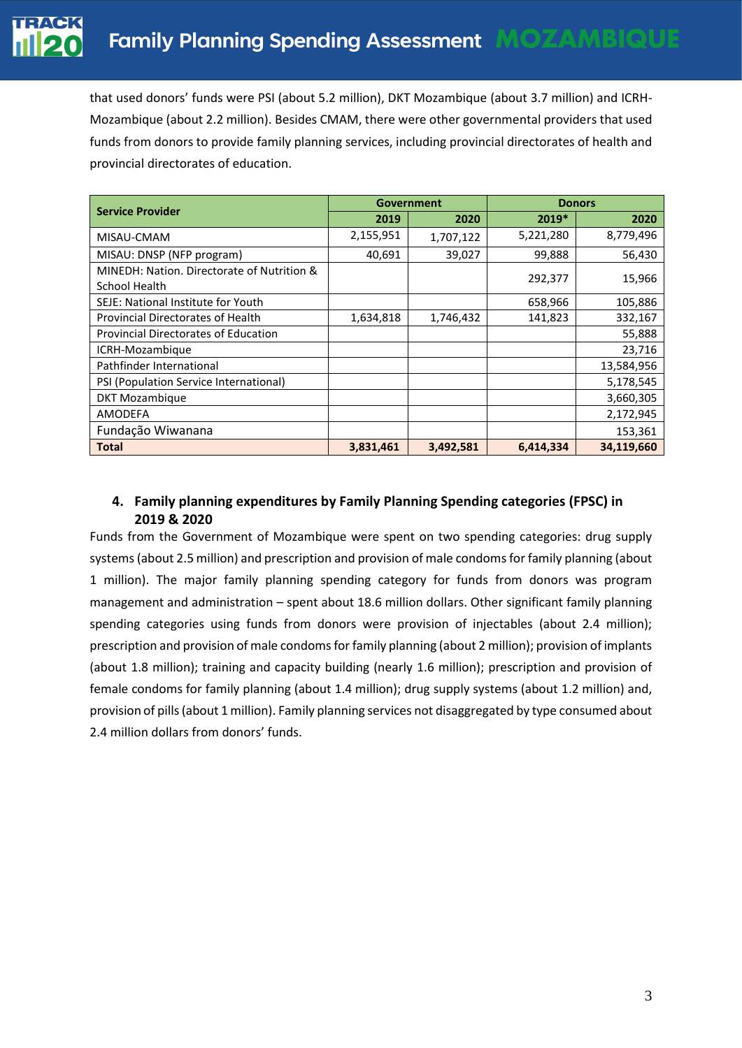that used donors' funds were PSI (about 5.2 million), DKT Mozambique (about 3.7 million) and ICRH-Mozambique (about 2.2 million). Besides CMAM, there were other governmental providers that used funds from donors to provide family planning services, including provincial directorates of health and provincial directorates of education.

|                                                             |           | <b>Government</b> | <b>Donors</b> |            |  |
|-------------------------------------------------------------|-----------|-------------------|---------------|------------|--|
| <b>Service Provider</b>                                     | 2019      | 2020              | $2019*$       | 2020       |  |
| MISAU-CMAM                                                  | 2,155,951 | 1,707,122         | 5,221,280     | 8,779,496  |  |
| MISAU: DNSP (NFP program)                                   | 40,691    | 39,027            | 99,888        | 56,430     |  |
| MINEDH: Nation. Directorate of Nutrition &<br>School Health |           |                   | 292,377       | 15,966     |  |
| SEJE: National Institute for Youth                          |           |                   | 658,966       | 105,886    |  |
| <b>Provincial Directorates of Health</b>                    | 1,634,818 | 1,746,432         | 141,823       | 332,167    |  |
| <b>Provincial Directorates of Education</b>                 |           |                   |               | 55,888     |  |
| ICRH-Mozambique                                             |           |                   |               | 23,716     |  |
| Pathfinder International                                    |           |                   |               | 13,584,956 |  |
| PSI (Population Service International)                      |           |                   |               | 5,178,545  |  |
| <b>DKT Mozambique</b>                                       |           |                   |               | 3,660,305  |  |
| <b>AMODEFA</b>                                              |           |                   |               | 2,172,945  |  |
| Fundação Wiwanana                                           |           |                   |               | 153,361    |  |
| <b>Total</b>                                                | 3,831,461 | 3,492,581         | 6,414,334     | 34,119,660 |  |

## **4. Family planning expenditures by Family Planning Spending categories (FPSC) in 2019 & 2020**

Funds from the Government of Mozambique were spent on two spending categories: drug supply systems (about 2.5 million) and prescription and provision of male condoms for family planning (about 1 million). The major family planning spending category for funds from donors was program management and administration – spent about 18.6 million dollars. Other significant family planning spending categories using funds from donors were provision of injectables (about 2.4 million); prescription and provision of male condoms for family planning (about 2 million); provision of implants (about 1.8 million); training and capacity building (nearly 1.6 million); prescription and provision of female condoms for family planning (about 1.4 million); drug supply systems (about 1.2 million) and, provision of pills (about 1 million). Family planning services not disaggregated by type consumed about 2.4 million dollars from donors' funds.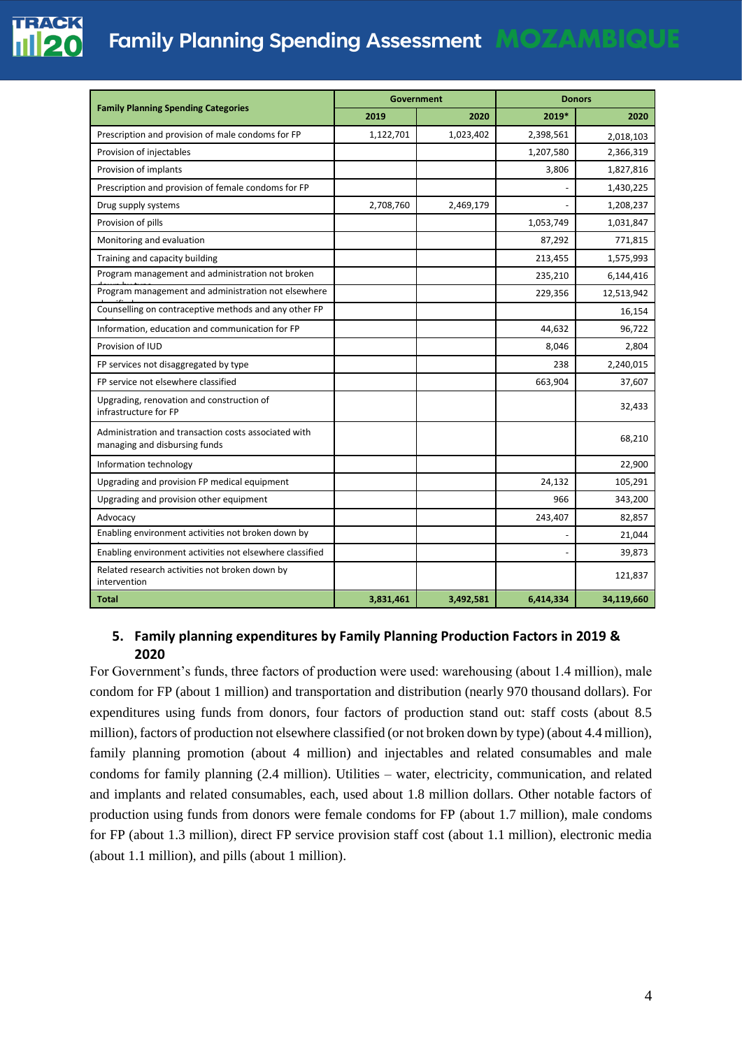

# **Family Planning Spending Assessment MOZAMBIQUE**

|                                                                                       | Government |           | <b>Donors</b> |            |  |
|---------------------------------------------------------------------------------------|------------|-----------|---------------|------------|--|
| <b>Family Planning Spending Categories</b>                                            | 2019       | 2020      | 2019*         | 2020       |  |
| Prescription and provision of male condoms for FP                                     | 1,122,701  | 1,023,402 | 2,398,561     | 2,018,103  |  |
| Provision of injectables                                                              |            |           | 1,207,580     | 2,366,319  |  |
| Provision of implants                                                                 |            |           | 3,806         | 1,827,816  |  |
| Prescription and provision of female condoms for FP                                   |            |           |               | 1,430,225  |  |
| Drug supply systems                                                                   | 2,708,760  | 2,469,179 |               | 1,208,237  |  |
| Provision of pills                                                                    |            |           | 1,053,749     | 1,031,847  |  |
| Monitoring and evaluation                                                             |            |           | 87,292        | 771,815    |  |
| Training and capacity building                                                        |            |           | 213,455       | 1,575,993  |  |
| Program management and administration not broken                                      |            |           | 235,210       | 6,144,416  |  |
| Program management and administration not elsewhere                                   |            |           | 229,356       | 12,513,942 |  |
| Counselling on contraceptive methods and any other FP                                 |            |           |               | 16,154     |  |
| Information, education and communication for FP                                       |            |           | 44,632        | 96,722     |  |
| Provision of IUD                                                                      |            |           | 8,046         | 2,804      |  |
| FP services not disaggregated by type                                                 |            |           | 238           | 2,240,015  |  |
| FP service not elsewhere classified                                                   |            |           | 663,904       | 37,607     |  |
| Upgrading, renovation and construction of<br>infrastructure for FP                    |            |           |               | 32,433     |  |
| Administration and transaction costs associated with<br>managing and disbursing funds |            |           |               | 68,210     |  |
| Information technology                                                                |            |           |               | 22,900     |  |
| Upgrading and provision FP medical equipment                                          |            |           | 24,132        | 105,291    |  |
| Upgrading and provision other equipment                                               |            |           | 966           | 343,200    |  |
| Advocacy                                                                              |            |           | 243,407       | 82,857     |  |
| Enabling environment activities not broken down by                                    |            |           |               | 21,044     |  |
| Enabling environment activities not elsewhere classified                              |            |           |               | 39,873     |  |
| Related research activities not broken down by<br>intervention                        |            |           |               | 121,837    |  |
| <b>Total</b>                                                                          | 3,831,461  | 3,492,581 | 6,414,334     | 34,119,660 |  |

#### **5. Family planning expenditures by Family Planning Production Factors in 2019 & 2020**

For Government's funds, three factors of production were used: warehousing (about 1.4 million), male condom for FP (about 1 million) and transportation and distribution (nearly 970 thousand dollars). For expenditures using funds from donors, four factors of production stand out: staff costs (about 8.5 million), factors of production not elsewhere classified (or not broken down by type) (about 4.4 million), family planning promotion (about 4 million) and injectables and related consumables and male condoms for family planning (2.4 million). Utilities – water, electricity, communication, and related and implants and related consumables, each, used about 1.8 million dollars. Other notable factors of production using funds from donors were female condoms for FP (about 1.7 million), male condoms for FP (about 1.3 million), direct FP service provision staff cost (about 1.1 million), electronic media (about 1.1 million), and pills (about 1 million).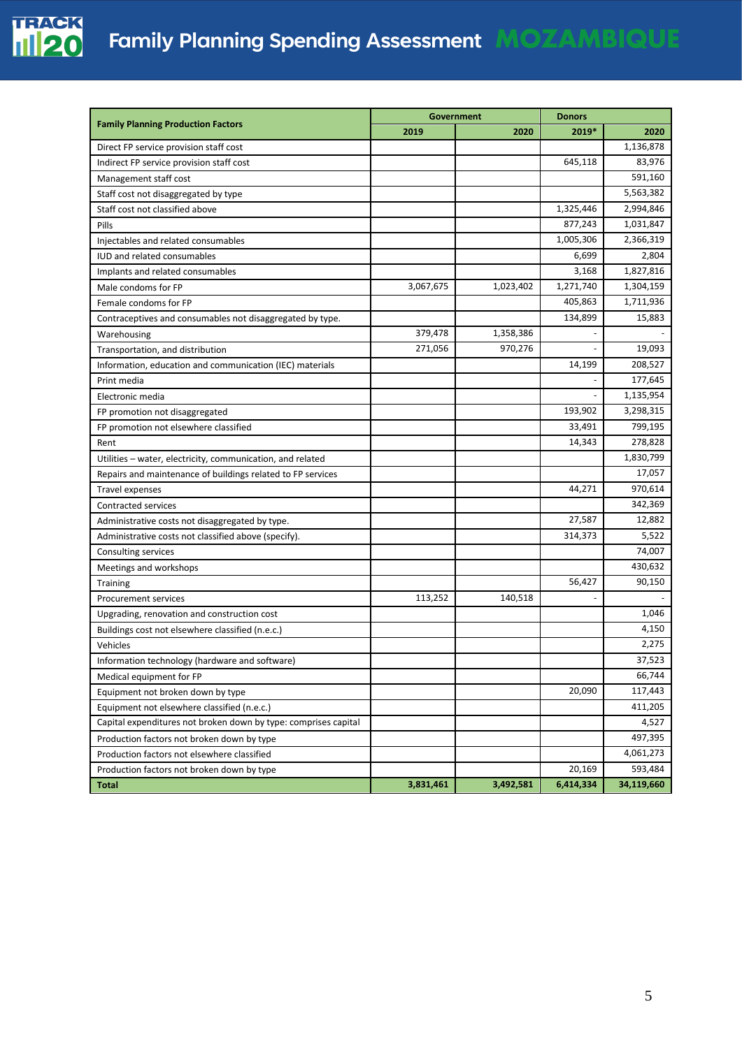

|                                                                 |           | Government |           | <b>Donors</b> |  |
|-----------------------------------------------------------------|-----------|------------|-----------|---------------|--|
| <b>Family Planning Production Factors</b>                       | 2019      | 2020       | 2019*     | 2020          |  |
| Direct FP service provision staff cost                          |           |            |           | 1,136,878     |  |
| Indirect FP service provision staff cost                        |           |            | 645,118   | 83,976        |  |
| Management staff cost                                           |           |            |           | 591,160       |  |
| Staff cost not disaggregated by type                            |           |            |           | 5,563,382     |  |
| Staff cost not classified above                                 |           |            | 1,325,446 | 2,994,846     |  |
| Pills                                                           |           |            | 877,243   | 1,031,847     |  |
| Injectables and related consumables                             |           |            | 1,005,306 | 2,366,319     |  |
| <b>IUD and related consumables</b>                              |           |            | 6,699     | 2,804         |  |
| Implants and related consumables                                |           |            | 3,168     | 1,827,816     |  |
| Male condoms for FP                                             | 3,067,675 | 1,023,402  | 1,271,740 | 1,304,159     |  |
| Female condoms for FP                                           |           |            | 405,863   | 1,711,936     |  |
| Contraceptives and consumables not disaggregated by type.       |           |            | 134,899   | 15,883        |  |
| Warehousing                                                     | 379,478   | 1,358,386  |           |               |  |
| Transportation, and distribution                                | 271,056   | 970,276    |           | 19,093        |  |
| Information, education and communication (IEC) materials        |           |            | 14,199    | 208,527       |  |
| Print media                                                     |           |            |           | 177,645       |  |
| Electronic media                                                |           |            |           | 1,135,954     |  |
| FP promotion not disaggregated                                  |           |            | 193,902   | 3,298,315     |  |
| FP promotion not elsewhere classified                           |           |            | 33,491    | 799,195       |  |
| Rent                                                            |           |            | 14,343    | 278,828       |  |
| Utilities - water, electricity, communication, and related      |           |            |           | 1,830,799     |  |
| Repairs and maintenance of buildings related to FP services     |           |            |           | 17,057        |  |
| <b>Travel expenses</b>                                          |           |            | 44,271    | 970,614       |  |
| Contracted services                                             |           |            |           | 342,369       |  |
| Administrative costs not disaggregated by type.                 |           |            | 27,587    | 12,882        |  |
| Administrative costs not classified above (specify).            |           |            | 314,373   | 5,522         |  |
| Consulting services                                             |           |            |           | 74,007        |  |
| Meetings and workshops                                          |           |            |           | 430,632       |  |
| <b>Training</b>                                                 |           |            | 56,427    | 90,150        |  |
| <b>Procurement services</b>                                     | 113,252   | 140,518    |           |               |  |
| Upgrading, renovation and construction cost                     |           |            |           | 1,046         |  |
| Buildings cost not elsewhere classified (n.e.c.)                |           |            |           | 4,150         |  |
| Vehicles                                                        |           |            |           | 2,275         |  |
| Information technology (hardware and software)                  |           |            |           | 37,523        |  |
| Medical equipment for FP                                        |           |            |           | 66,744        |  |
| Equipment not broken down by type                               |           |            | 20,090    | 117,443       |  |
| Equipment not elsewhere classified (n.e.c.)                     |           |            |           | 411,205       |  |
| Capital expenditures not broken down by type: comprises capital |           |            |           | 4,527         |  |
| Production factors not broken down by type                      |           |            |           | 497,395       |  |
| Production factors not elsewhere classified                     |           |            |           | 4,061,273     |  |
| Production factors not broken down by type                      |           |            | 20,169    | 593,484       |  |
| <b>Total</b>                                                    | 3,831,461 | 3,492,581  | 6,414,334 | 34,119,660    |  |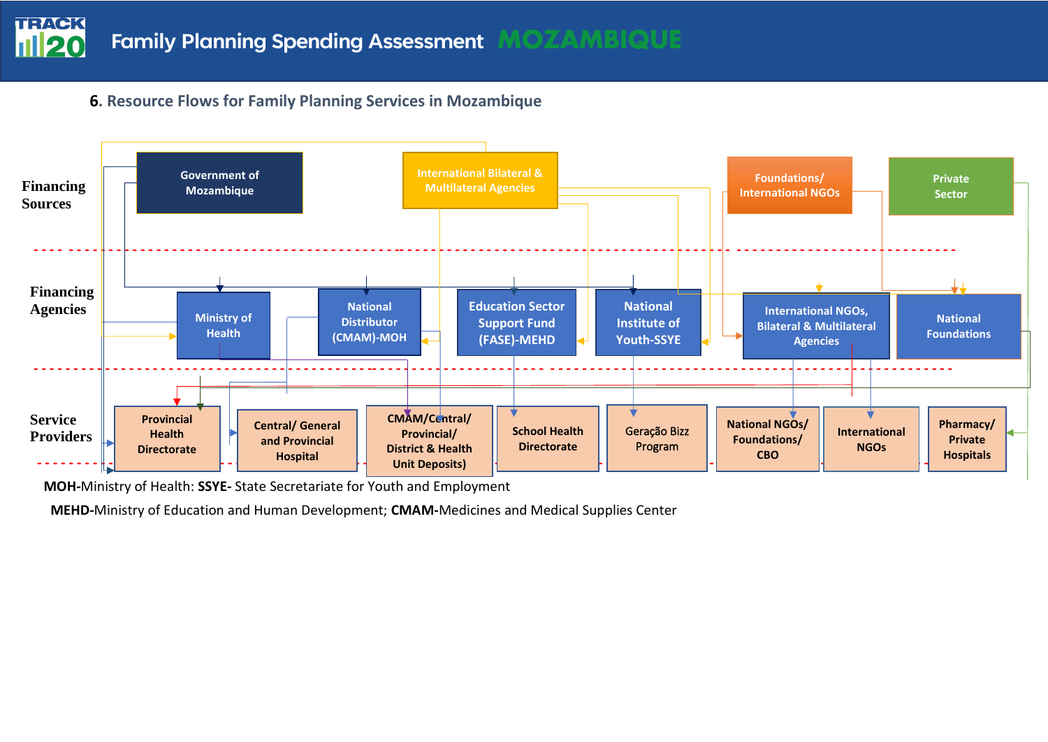

# **6. Resource Flows for Family Planning Services in Mozambique**



 **MOH-**Ministry of Health: **SSYE-** State Secretariate for Youth and Employment

 **MEHD-**Ministry of Education and Human Development; **CMAM-**Medicines and Medical Supplies Center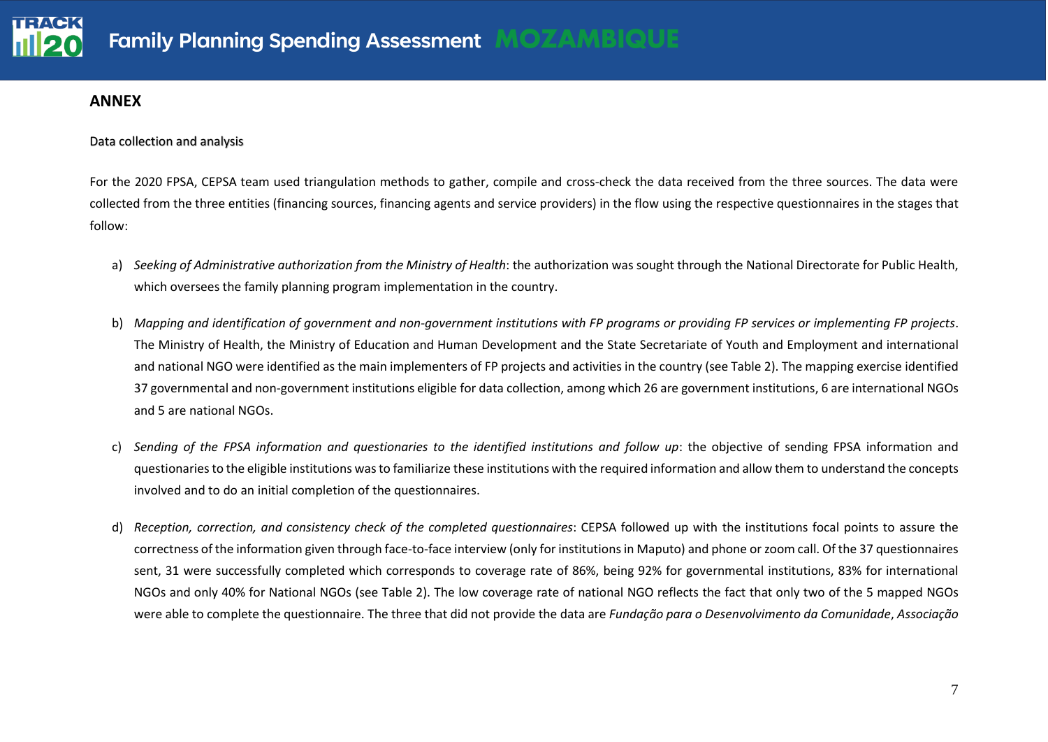#### **ANNEX**

Data collection and analysis

For the 2020 FPSA, CEPSA team used triangulation methods to gather, compile and cross-check the data received from the three sources. The data were collected from the three entities (financing sources, financing agents and service providers) in the flow using the respective questionnaires in the stages that follow:

- a) *Seeking of Administrative authorization from the Ministry of Health*: the authorization was sought through the National Directorate for Public Health, which oversees the family planning program implementation in the country.
- b) *Mapping and identification of government and non-government institutions with FP programs or providing FP services or implementing FP projects*. The Ministry of Health, the Ministry of Education and Human Development and the State Secretariate of Youth and Employment and international and national NGO were identified as the main implementers of FP projects and activities in the country (see Table 2). The mapping exercise identified 37 governmental and non-government institutions eligible for data collection, among which 26 are government institutions, 6 are international NGOs and 5 are national NGOs.
- c) *Sending of the FPSA information and questionaries to the identified institutions and follow up*: the objective of sending FPSA information and questionaries to the eligible institutions was to familiarize these institutions with the required information and allow them to understand the concepts involved and to do an initial completion of the questionnaires.
- d) *Reception, correction, and consistency check of the completed questionnaires*: CEPSA followed up with the institutions focal points to assure the correctness of the information given through face-to-face interview (only for institutions in Maputo) and phone or zoom call. Of the 37 questionnaires sent, 31 were successfully completed which corresponds to coverage rate of 86%, being 92% for governmental institutions, 83% for international NGOs and only 40% for National NGOs (see Table 2). The low coverage rate of national NGO reflects the fact that only two of the 5 mapped NGOs were able to complete the questionnaire. The three that did not provide the data are *Fundação para o Desenvolvimento da Comunidade*, *Associação*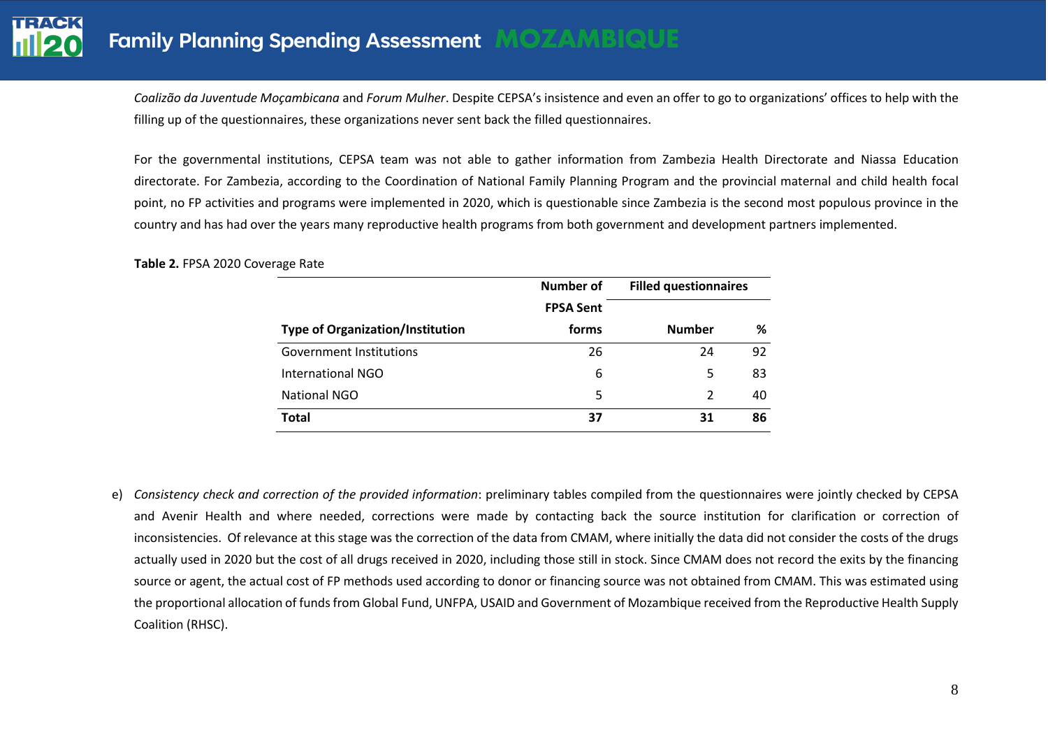*Coalizão da Juventude Moçambicana* and *Forum Mulher*. Despite CEPSA's insistence and even an offer to go to organizations' offices to help with the filling up of the questionnaires, these organizations never sent back the filled questionnaires.

For the governmental institutions, CEPSA team was not able to gather information from Zambezia Health Directorate and Niassa Education directorate. For Zambezia, according to the Coordination of National Family Planning Program and the provincial maternal and child health focal point, no FP activities and programs were implemented in 2020, which is questionable since Zambezia is the second most populous province in the country and has had over the years many reproductive health programs from both government and development partners implemented.

|                                         | <b>Number of</b> | <b>Filled questionnaires</b> |    |
|-----------------------------------------|------------------|------------------------------|----|
|                                         | <b>FPSA Sent</b> |                              |    |
| <b>Type of Organization/Institution</b> | forms            | <b>Number</b>                | %  |
| Government Institutions                 | 26               | 24                           | 92 |
| International NGO                       | 6                | 5                            | 83 |
| <b>National NGO</b>                     | 5                | $\mathcal{P}$                | 40 |
| <b>Total</b>                            | 37               | 31                           | 86 |

**Table 2.** FPSA 2020 Coverage Rate

e) *Consistency check and correction of the provided information*: preliminary tables compiled from the questionnaires were jointly checked by CEPSA and Avenir Health and where needed, corrections were made by contacting back the source institution for clarification or correction of inconsistencies. Of relevance at this stage was the correction of the data from CMAM, where initially the data did not consider the costs of the drugs actually used in 2020 but the cost of all drugs received in 2020, including those still in stock. Since CMAM does not record the exits by the financing source or agent, the actual cost of FP methods used according to donor or financing source was not obtained from CMAM. This was estimated using the proportional allocation of funds from Global Fund, UNFPA, USAID and Government of Mozambique received from the Reproductive Health Supply Coalition (RHSC).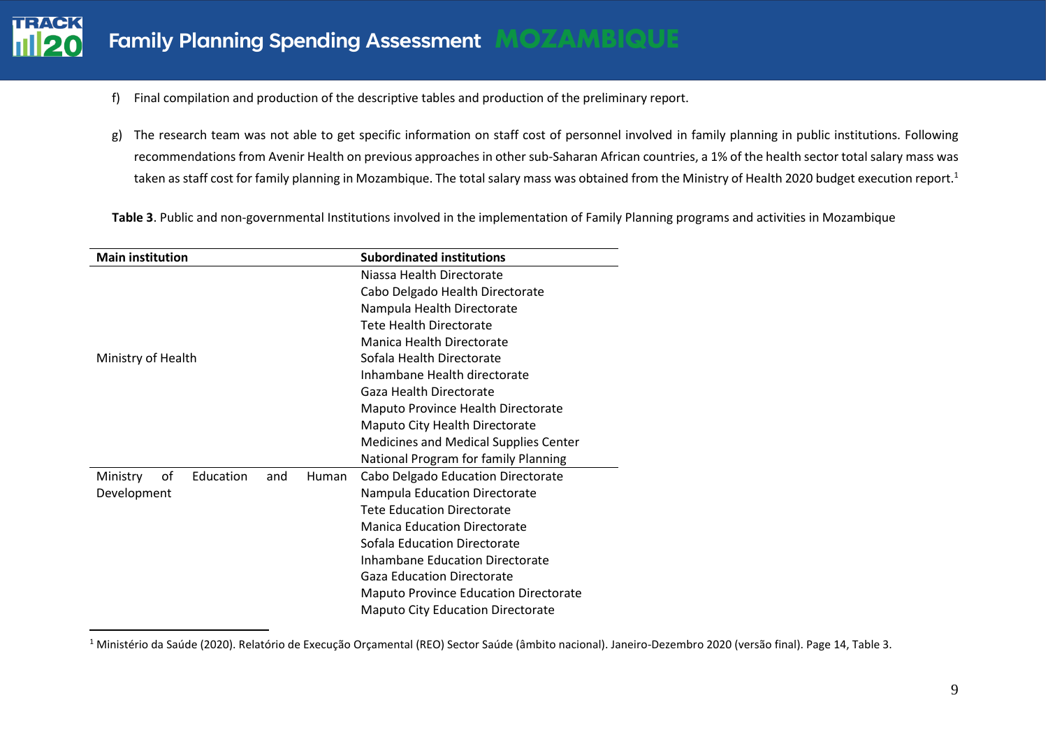- f) Final compilation and production of the descriptive tables and production of the preliminary report.
- g) The research team was not able to get specific information on staff cost of personnel involved in family planning in public institutions. Following recommendations from Avenir Health on previous approaches in other sub-Saharan African countries, a 1% of the health sector total salary mass was taken as staff cost for family planning in Mozambique. The total salary mass was obtained from the Ministry of Health 2020 budget execution report.<sup>1</sup>

**Table 3**. Public and non-governmental Institutions involved in the implementation of Family Planning programs and activities in Mozambique

| <b>Main institution</b>                     | <b>Subordinated institutions</b>             |  |  |
|---------------------------------------------|----------------------------------------------|--|--|
|                                             | Niassa Health Directorate                    |  |  |
|                                             | Cabo Delgado Health Directorate              |  |  |
|                                             | Nampula Health Directorate                   |  |  |
|                                             | Tete Health Directorate                      |  |  |
|                                             | Manica Health Directorate                    |  |  |
| Ministry of Health                          | Sofala Health Directorate                    |  |  |
|                                             | Inhambane Health directorate                 |  |  |
|                                             | Gaza Health Directorate                      |  |  |
|                                             | Maputo Province Health Directorate           |  |  |
|                                             | Maputo City Health Directorate               |  |  |
|                                             | <b>Medicines and Medical Supplies Center</b> |  |  |
|                                             | National Program for family Planning         |  |  |
| Education<br>оf<br>Ministry<br>Human<br>and | Cabo Delgado Education Directorate           |  |  |
| Development                                 | Nampula Education Directorate                |  |  |
|                                             | <b>Tete Education Directorate</b>            |  |  |
|                                             | <b>Manica Education Directorate</b>          |  |  |
|                                             | Sofala Education Directorate                 |  |  |
|                                             | <b>Inhambane Education Directorate</b>       |  |  |
|                                             | <b>Gaza Education Directorate</b>            |  |  |
|                                             | <b>Maputo Province Education Directorate</b> |  |  |
|                                             | <b>Maputo City Education Directorate</b>     |  |  |

<sup>&</sup>lt;sup>1</sup> Ministério da Saúde (2020). Relatório de Execução Orçamental (REO) Sector Saúde (âmbito nacional). Janeiro-Dezembro 2020 (versão final). Page 14, Table 3.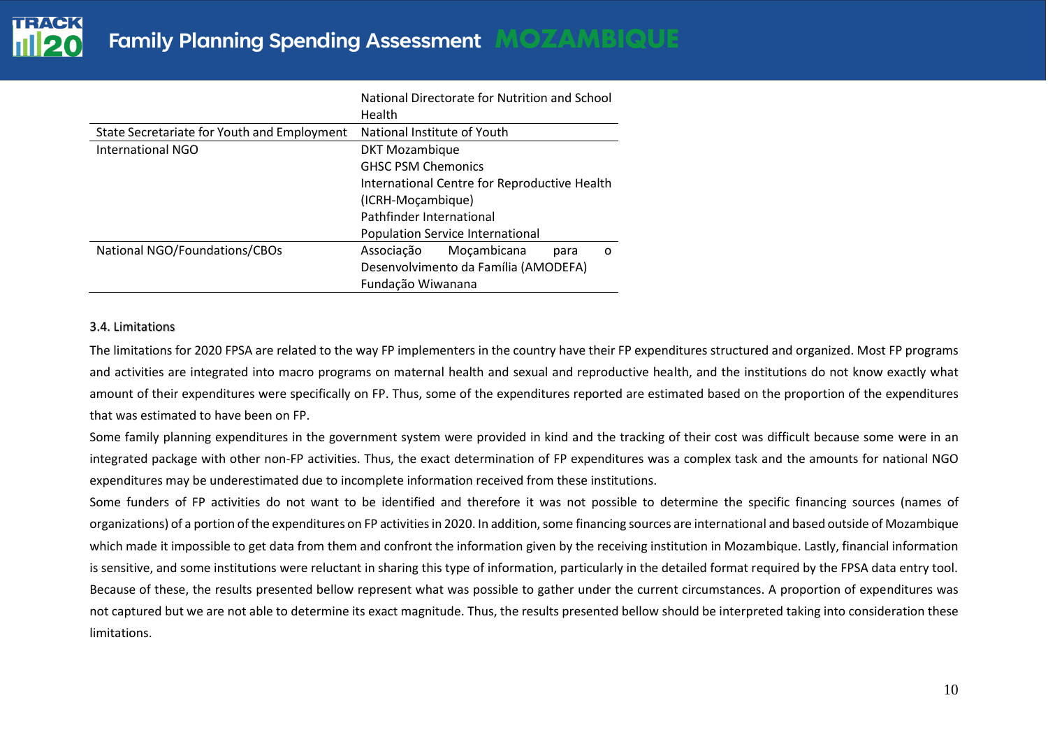|                                             | National Directorate for Nutrition and School<br>Health |
|---------------------------------------------|---------------------------------------------------------|
| State Secretariate for Youth and Employment | National Institute of Youth                             |
| International NGO                           | <b>DKT Mozambique</b>                                   |
|                                             | <b>GHSC PSM Chemonics</b>                               |
|                                             | International Centre for Reproductive Health            |
|                                             | (ICRH-Moçambique)                                       |
|                                             | Pathfinder International                                |
|                                             | Population Service International                        |
| National NGO/Foundations/CBOs               | Moçambicana<br>Associação<br>para<br>$\Omega$           |
|                                             | Desenvolvimento da Família (AMODEFA)                    |
|                                             | Fundação Wiwanana                                       |

#### 3.4. Limitations

The limitations for 2020 FPSA are related to the way FP implementers in the country have their FP expenditures structured and organized. Most FP programs and activities are integrated into macro programs on maternal health and sexual and reproductive health, and the institutions do not know exactly what amount of their expenditures were specifically on FP. Thus, some of the expenditures reported are estimated based on the proportion of the expenditures that was estimated to have been on FP.

Some family planning expenditures in the government system were provided in kind and the tracking of their cost was difficult because some were in an integrated package with other non-FP activities. Thus, the exact determination of FP expenditures was a complex task and the amounts for national NGO expenditures may be underestimated due to incomplete information received from these institutions.

Some funders of FP activities do not want to be identified and therefore it was not possible to determine the specific financing sources (names of organizations) of a portion of the expenditures on FP activities in 2020. In addition, some financing sources are international and based outside of Mozambique which made it impossible to get data from them and confront the information given by the receiving institution in Mozambique. Lastly, financial information is sensitive, and some institutions were reluctant in sharing this type of information, particularly in the detailed format required by the FPSA data entry tool. Because of these, the results presented bellow represent what was possible to gather under the current circumstances. A proportion of expenditures was not captured but we are not able to determine its exact magnitude. Thus, the results presented bellow should be interpreted taking into consideration these limitations.